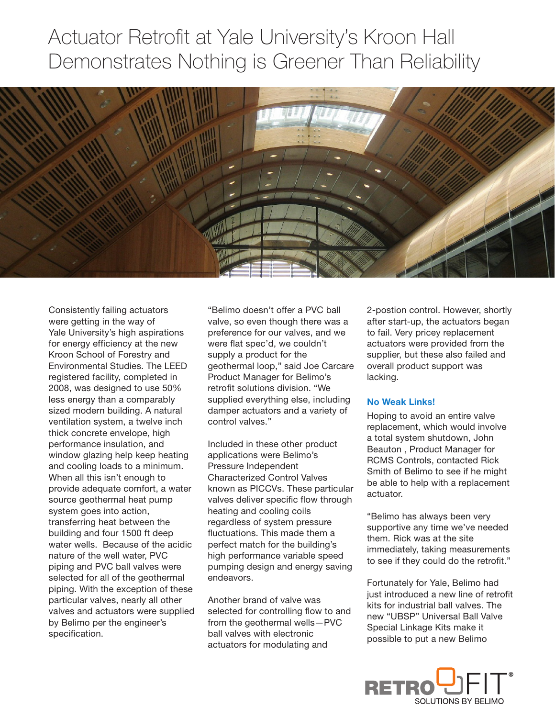## Actuator Retrofit at Yale University's Kroon Hall Demonstrates Nothing is Greener Than Reliability



Consistently failing actuators were getting in the way of Yale University's high aspirations for energy efficiency at the new Kroon School of Forestry and Environmental Studies. The LEED registered facility, completed in 2008, was designed to use 50% less energy than a comparably sized modern building. A natural ventilation system, a twelve inch thick concrete envelope, high performance insulation, and window glazing help keep heating and cooling loads to a minimum. When all this isn't enough to provide adequate comfort, a water source geothermal heat pump system goes into action, transferring heat between the building and four 1500 ft deep water wells. Because of the acidic nature of the well water, PVC piping and PVC ball valves were selected for all of the geothermal piping. With the exception of these particular valves, nearly all other valves and actuators were supplied by Belimo per the engineer's specification.

"Belimo doesn't offer a PVC ball valve, so even though there was a preference for our valves, and we were flat spec'd, we couldn't supply a product for the geothermal loop," said Joe Carcare Product Manager for Belimo's retrofit solutions division. "We supplied everything else, including damper actuators and a variety of control valves."

Included in these other product applications were Belimo's Pressure Independent Characterized Control Valves known as PICCVs. These particular valves deliver specific flow through heating and cooling coils regardless of system pressure fluctuations. This made them a perfect match for the building's high performance variable speed pumping design and energy saving endeavors.

Another brand of valve was selected for controlling flow to and from the geothermal wells—PVC ball valves with electronic actuators for modulating and

2-postion control. However, shortly after start-up, the actuators began to fail. Very pricey replacement actuators were provided from the supplier, but these also failed and overall product support was lacking.

## **No Weak Links!**

Hoping to avoid an entire valve replacement, which would involve a total system shutdown, John Beauton , Product Manager for RCMS Controls, contacted Rick Smith of Belimo to see if he might be able to help with a replacement actuator.

"Belimo has always been very supportive any time we've needed them. Rick was at the site immediately, taking measurements to see if they could do the retrofit."

Fortunately for Yale, Belimo had just introduced a new line of retrofit kits for industrial ball valves. The new "UBSP" Universal Ball Valve Special Linkage Kits make it possible to put a new Belimo